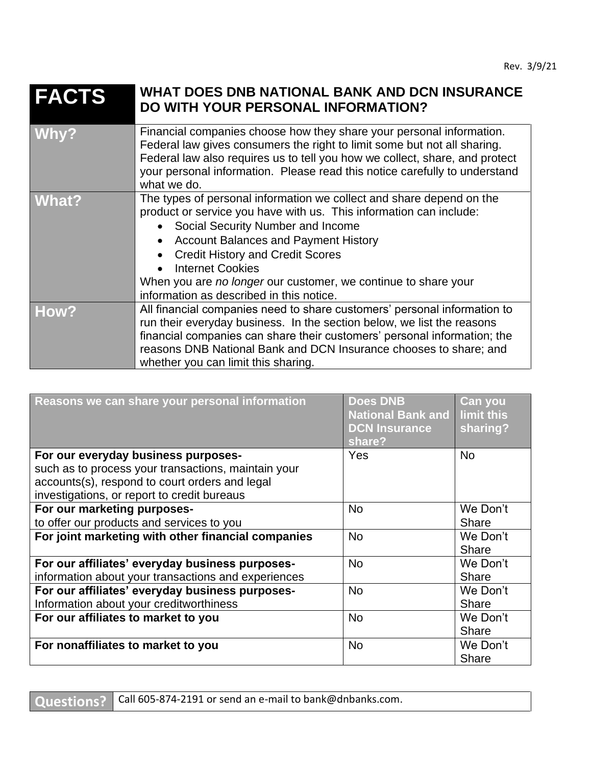## **FACTS WHAT DOES DNB NATIONAL BANK AND DCN INSURANCE DO WITH YOUR PERSONAL INFORMATION?**

| Why?  | Financial companies choose how they share your personal information.<br>Federal law gives consumers the right to limit some but not all sharing.<br>Federal law also requires us to tell you how we collect, share, and protect<br>your personal information. Please read this notice carefully to understand<br>what we do.                                                                                            |
|-------|-------------------------------------------------------------------------------------------------------------------------------------------------------------------------------------------------------------------------------------------------------------------------------------------------------------------------------------------------------------------------------------------------------------------------|
| What? | The types of personal information we collect and share depend on the<br>product or service you have with us. This information can include:<br>• Social Security Number and Income<br>• Account Balances and Payment History<br>• Credit History and Credit Scores<br><b>Internet Cookies</b><br>$\bullet$<br>When you are no longer our customer, we continue to share your<br>information as described in this notice. |
| How?  | All financial companies need to share customers' personal information to<br>run their everyday business. In the section below, we list the reasons<br>financial companies can share their customers' personal information; the<br>reasons DNB National Bank and DCN Insurance chooses to share; and<br>whether you can limit this sharing.                                                                              |

| Reasons we can share your personal information                                                         | <b>Does DNB</b><br><b>National Bank and</b><br><b>DCN Insurance</b><br>share? | Can you<br>limit this<br>sharing? |
|--------------------------------------------------------------------------------------------------------|-------------------------------------------------------------------------------|-----------------------------------|
| For our everyday business purposes-<br>such as to process your transactions, maintain your             | Yes                                                                           | <b>No</b>                         |
| accounts(s), respond to court orders and legal<br>investigations, or report to credit bureaus          |                                                                               |                                   |
| For our marketing purposes-                                                                            | <b>No</b>                                                                     | We Don't                          |
| to offer our products and services to you                                                              |                                                                               | <b>Share</b>                      |
| For joint marketing with other financial companies                                                     | <b>No</b>                                                                     | We Don't<br>Share                 |
| For our affiliates' everyday business purposes-<br>information about your transactions and experiences | <b>No</b>                                                                     | We Don't<br>Share                 |
| For our affiliates' everyday business purposes-<br>Information about your creditworthiness             | <b>No</b>                                                                     | We Don't<br><b>Share</b>          |
| For our affiliates to market to you                                                                    | <b>No</b>                                                                     | We Don't<br><b>Share</b>          |
| For nonaffiliates to market to you                                                                     | <b>No</b>                                                                     | We Don't<br><b>Share</b>          |